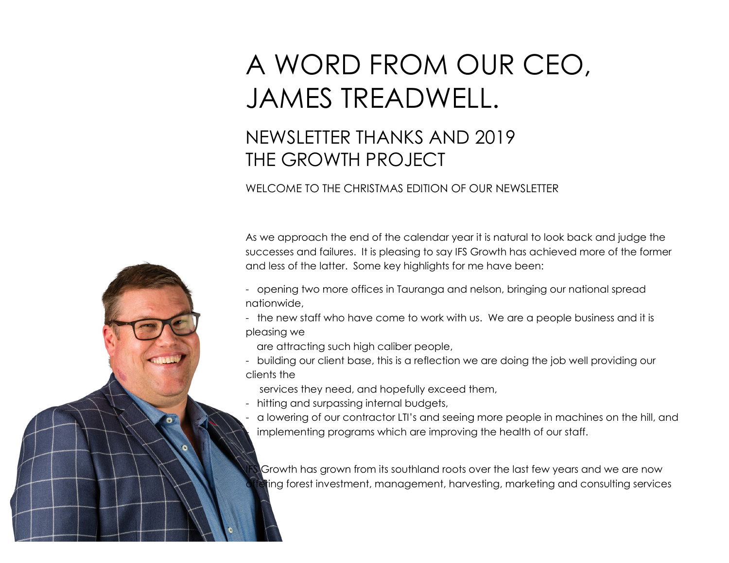## A WORD FROM OUR CEO, JAMES TREADWELL.

## NEWSLETTER THANKS AND 2019 THE GROWTH PROJECT

## WELCOME TO THE CHRISTMAS EDITION OF OUR NEWSLETTER

As we approach the end of the calendar year it is natural to look back and judge the successes and failures. It is pleasing to say IFS Growth has achieved more of the former and less of the latter. Some key highlights for me have been:

- opening two more offices in Tauranga and nelson, bringing our national spread nationwide,
- the new staff who have come to work with us. We are a people business and it is pleasing we
	- are attracting such high caliber people,
- building our client base, this is a reflection we are doing the job well providing our clients the
	- services they need, and hopefully exceed them,
- hitting and surpassing internal budgets,
- a lowering of our contractor LTI's and seeing more people in machines on the hill, and implementing programs which are improving the health of our staff.

Growth has grown from its southland roots over the last few years and we are now ting forest investment, management, harvesting, marketing and consulting services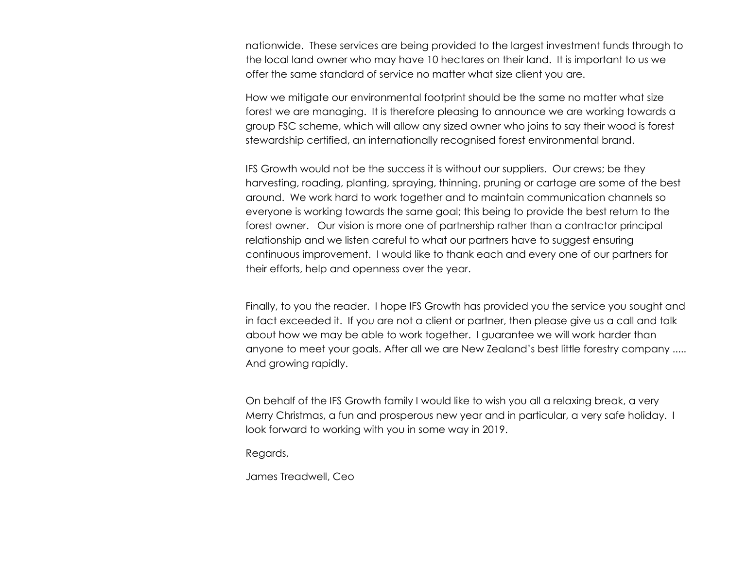nationwide. These services are being provided to the largest investment funds through to the local land owner who may have 10 hectares on their land. It is important to us we offer the same standard of service no matter what size client you are.

How we mitigate our environmental footprint should be the same no matter what size forest we are managing. It is therefore pleasing to announce we are working towards a group FSC scheme, which will allow any sized owner who joins to say their wood is forest stewardship certified, an internationally recognised forest environmental brand.

IFS Growth would not be the success it is without our suppliers. Our crews; be they harvesting, roading, planting, spraying, thinning, pruning or cartage are some of the best around. We work hard to work together and to maintain communication channels so everyone is working towards the same goal; this being to provide the best return to the forest owner. Our vision is more one of partnership rather than a contractor principal relationship and we listen careful to what our partners have to suggest ensuring continuous improvement. I would like to thank each and every one of our partners for their efforts, help and openness over the year.

Finally, to you the reader. I hope IFS Growth has provided you the service you sought and in fact exceeded it. If you are not a client or partner, then please give us a call and talk about how we may be able to work together. I guarantee we will work harder than anyone to meet your goals. After all we are New Zealand's best little forestry company ..... And growing rapidly.

On behalf of the IFS Growth family I would like to wish you all a relaxing break, a very Merry Christmas, a fun and prosperous new year and in particular, a very safe holiday. I look forward to working with you in some way in 2019.

Regards,

James Treadwell, Ceo